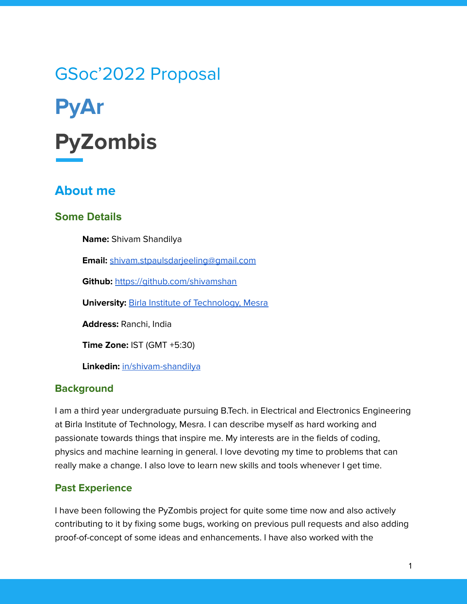# GSoc'2022 Proposal **PyAr PyZombis**

## **About me**

## **Some Details**

**Name:** Shivam Shandilya

**Email:** [shivam.stpaulsdarjeeling@gmail.com](mailto:shivam.stpaulsdarjeeling@gmail.com)

**Github:** <https://github.com/shivamshan>

**University: Birla Institute of [Technology,](https://bitmesra.ac.in/) Mesra** 

**Address:** Ranchi, India

**Time Zone:** IST (GMT +5:30)

**Linkedin:** [in/shivam-shandilya](https://www.linkedin.com/in/shivam-shandilya-648112154/)

#### **Background**

I am a third year undergraduate pursuing B.Tech. in Electrical and Electronics Engineering at Birla Institute of Technology, Mesra. I can describe myself as hard working and passionate towards things that inspire me. My interests are in the fields of coding, physics and machine learning in general. I love devoting my time to problems that can really make a change. I also love to learn new skills and tools whenever I get time.

## **Past Experience**

I have been following the PyZombis project for quite some time now and also actively contributing to it by fixing some bugs, working on previous pull requests and also adding proof-of-concept of some ideas and enhancements. I have also worked with the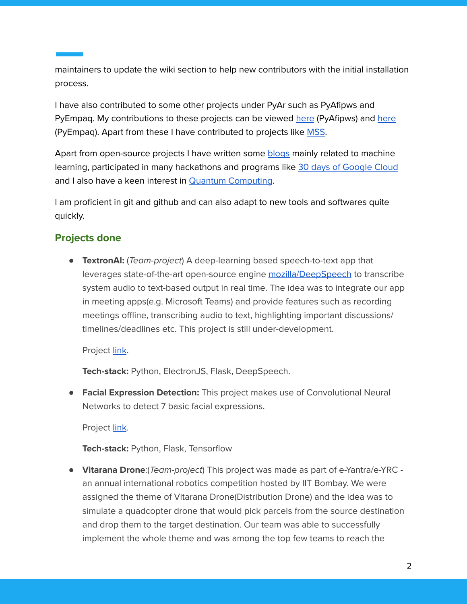maintainers to update the wiki section to help new contributors with the initial installation process.

I have also contributed to some other projects under PyAr such as PyAfipws and PyEmpaq. My contributions to these projects can be viewed [here](https://github.com/PyAr/pyafipws/pulls/shivamshan) (PyAfipws) and [here](https://github.com/facundobatista/pyempaq/pulls/shivamshan) (PyEmpaq). Apart from these I have contributed to projects like [MSS](https://github.com/Open-MSS/MSS/pulls).

Apart from open-source projects I have written some [blogs](https://www.analyticsvidhya.com/blog/author/noobmaster21/) mainly related to machine learning, participated in many hackathons and programs like 30 days of [Google](https://events.withgoogle.com/30daysofgooglecloud/) Cloud and I also have a keen interest in Quantum [Computing](https://www.linkedin.com/posts/shivam-shandilya-648112154_ibmquantum-qiskit-quantumcomputing-activity-6719500810922852352-BCcA?utm_source=linkedin_share&utm_medium=member_desktop_web).

I am proficient in git and github and can also adapt to new tools and softwares quite quickly.

#### **Projects done**

● **TextronAI:** (Team-project) A deep-learning based speech-to-text app that leverages state-of-the-art open-source engine [mozilla/DeepSpeech](https://github.com/mozilla/DeepSpeech) to transcribe system audio to text-based output in real time. The idea was to integrate our app in meeting apps(e.g. Microsoft Teams) and provide features such as recording meetings offline, transcribing audio to text, highlighting important discussions/ timelines/deadlines etc. This project is still under-development.

#### Project [link](https://github.com/zee-bit/Team-Apocalypse).

**Tech-stack:** Python, ElectronJS, Flask, DeepSpeech.

**● Facial Expression Detection:** This project makes use of Convolutional Neural Networks to detect 7 basic facial expressions.

Project [link](https://github.com/shivamshan/FACIAL-EXPRESSION-DETECTION-AND-MODEL-DEPLOYMENT).

**Tech-stack:** Python, Flask, Tensorflow

● **Vitarana Drone**:(Team-project) This project was made as part of e-Yantra/e-YRC an annual international robotics competition hosted by IIT Bombay. We were assigned the theme of Vitarana Drone(Distribution Drone) and the idea was to simulate a quadcopter drone that would pick parcels from the source destination and drop them to the target destination. Our team was able to successfully implement the whole theme and was among the top few teams to reach the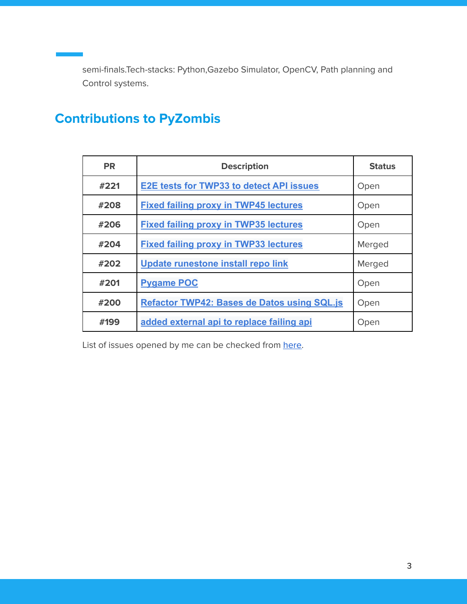semi-finals.Tech-stacks: Python,Gazebo Simulator, OpenCV, Path planning and Control systems.

# **Contributions to PyZombis**

| <b>PR</b> | <b>Description</b>                                 | <b>Status</b> |
|-----------|----------------------------------------------------|---------------|
| #221      | <b>E2E tests for TWP33 to detect API issues</b>    | Open          |
| #208      | <b>Fixed failing proxy in TWP45 lectures</b>       | Open          |
| #206      | <b>Fixed failing proxy in TWP35 lectures</b>       | Open          |
| #204      | <b>Fixed failing proxy in TWP33 lectures</b>       | Merged        |
| #202      | Update runestone install repo link                 | Merged        |
| #201      | <b>Pygame POC</b>                                  | Open          |
| #200      | <b>Refactor TWP42: Bases de Datos using SQL.js</b> | Open          |
| #199      | added external api to replace failing api          | Open          |

List of issues opened by me can be checked from [here.](https://github.com/PyAr/PyZombis/issues/created_by/shivamshan)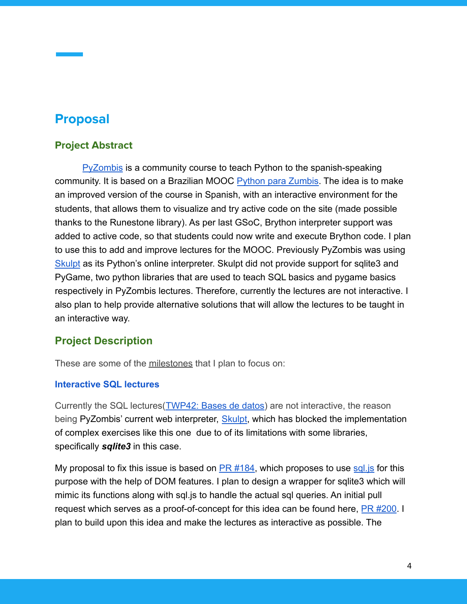## **Proposal**

## **Project Abstract**

[PyZombis](http://pyar.github.io/PyZombis/index.html) is a community course to teach Python to the spanish-speaking community. It is based on a Brazilian MOOC Python [para Zumbis.](https://www.pycursos.com/python-para-zumbis/) The idea is to make an improved version of the course in Spanish, with an interactive environment for the students, that allows them to visualize and try active code on the site (made possible thanks to the Runestone library). As per last GSoC, Brython interpreter support was added to active code, so that students could now write and execute Brython code. I plan to use this to add and improve lectures for the MOOC. Previously PyZombis was using [Skulpt](https://skulpt.org/) as its Python's online interpreter. Skulpt did not provide support for sqlite3 and PyGame, two python libraries that are used to teach SQL basics and pygame basics respectively in PyZombis lectures. Therefore, currently the lectures are not interactive. I also plan to help provide alternative solutions that will allow the lectures to be taught in an interactive way.

## **Project Description**

These are some of the milestones that I plan to focus on:

#### **Interactive SQL lectures**

Currently the SQL lectures([TWP42: Bases de datos\)](http://pyar.github.io/PyZombis/master/lectures/TWP42/toctree.html) are not interactive, the reason being PyZombis' current web interpreter, [Skulpt](https://skulpt.org/), which has blocked the implementation of complex exercises like this one due to of its limitations with some libraries, specifically *sqlite3* in this case.

My proposal to fix this issue is based on  $PR #184$ , which proposes to use sql. is for this purpose with the help of DOM features. I plan to design a wrapper for sqlite3 which will mimic its functions along with sql.js to handle the actual sql queries. An initial pull request which serves as a proof-of-concept for this idea can be found here, [PR #200](https://github.com/PyAr/PyZombis/pull/200). I plan to build upon this idea and make the lectures as interactive as possible. The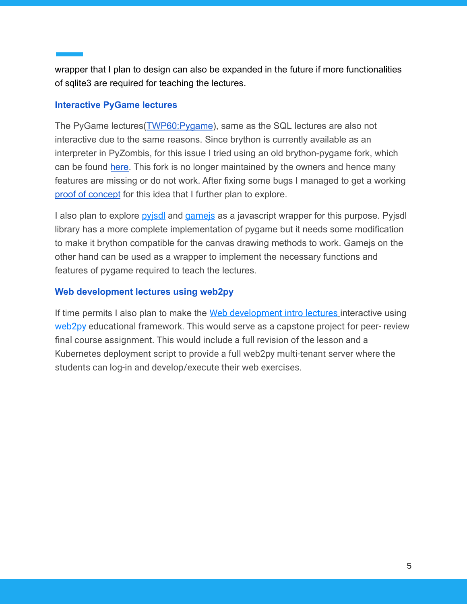wrapper that I plan to design can also be expanded in the future if more functionalities of sqlite3 are required for teaching the lectures.

#### **Interactive PyGame lectures**

The PyGame lectures([TWP60:Pygame](http://pyar.github.io/PyZombis/master/lectures/TWP60/toctree.html)), same as the SQL lectures are also not interactive due to the same reasons. Since brython is currently available as an interpreter in PyZombis, for this issue I tried using an old brython-pygame fork, which can be found [here.](https://github.com/wkta/brython-pygame) This fork is no longer maintained by the owners and hence many features are missing or do not work. After fixing some bugs I managed to get a working [proof of concept](https://github.com/PyAr/PyZombis/pull/201) for this idea that I further plan to explore.

I also plan to explore [pyjsdl](https://gatc.ca/projects/pyjsdl/) and game is as a javascript wrapper for this purpose. Pyjsdl library has a more complete implementation of pygame but it needs some modification to make it brython compatible for the canvas drawing methods to work. Gamejs on the other hand can be used as a wrapper to implement the necessary functions and features of pygame required to teach the lectures.

#### **Web development lectures using web2py**

If time permits I also plan to make the [Web development](http://pyar.github.io/PyZombis/master/lectures/TWP65/toctree.html) intro lectures interactive using [web2py](http://www.web2py.com/) educational framework. This would serve as a capstone project for peer- review final course assignment. This would include a full revision of the lesson and a Kubernetes deployment script to provide a full web2py multi-tenant server where the students can log-in and develop/execute their web exercises.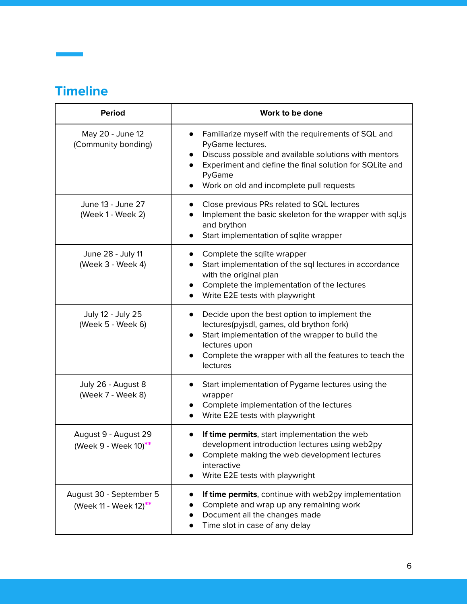# **Timeline**

| <b>Period</b>                                                | Work to be done                                                                                                                                                                                                                                                 |  |
|--------------------------------------------------------------|-----------------------------------------------------------------------------------------------------------------------------------------------------------------------------------------------------------------------------------------------------------------|--|
| May 20 - June 12<br>(Community bonding)                      | Familiarize myself with the requirements of SQL and<br>$\bullet$<br>PyGame lectures.<br>Discuss possible and available solutions with mentors<br>Experiment and define the final solution for SQLite and<br>PyGame<br>Work on old and incomplete pull requests  |  |
| June 13 - June 27<br>(Week 1 - Week 2)                       | Close previous PRs related to SQL lectures<br>Implement the basic skeleton for the wrapper with sql.js<br>and brython<br>Start implementation of sqlite wrapper                                                                                                 |  |
| June 28 - July 11<br>(Week 3 - Week 4)                       | Complete the sqlite wrapper<br>Start implementation of the sql lectures in accordance<br>with the original plan<br>Complete the implementation of the lectures<br>Write E2E tests with playwright                                                               |  |
| July 12 - July 25<br>(Week 5 - Week 6)                       | Decide upon the best option to implement the<br>$\bullet$<br>lectures(pyjsdl, games, old brython fork)<br>Start implementation of the wrapper to build the<br>$\bullet$<br>lectures upon<br>Complete the wrapper with all the features to teach the<br>lectures |  |
| July 26 - August 8<br>(Week 7 - Week 8)                      | Start implementation of Pygame lectures using the<br>wrapper<br>Complete implementation of the lectures<br>Write E2E tests with playwright                                                                                                                      |  |
| August 9 - August 29<br>(Week 9 - Week 10) <sup>**</sup>     | If time permits, start implementation the web<br>development introduction lectures using web2py<br>Complete making the web development lectures<br>interactive<br>Write E2E tests with playwright                                                               |  |
| August 30 - September 5<br>(Week 11 - Week 12) <sup>**</sup> | If time permits, continue with web2py implementation<br>Complete and wrap up any remaining work<br>Document all the changes made<br>Time slot in case of any delay                                                                                              |  |